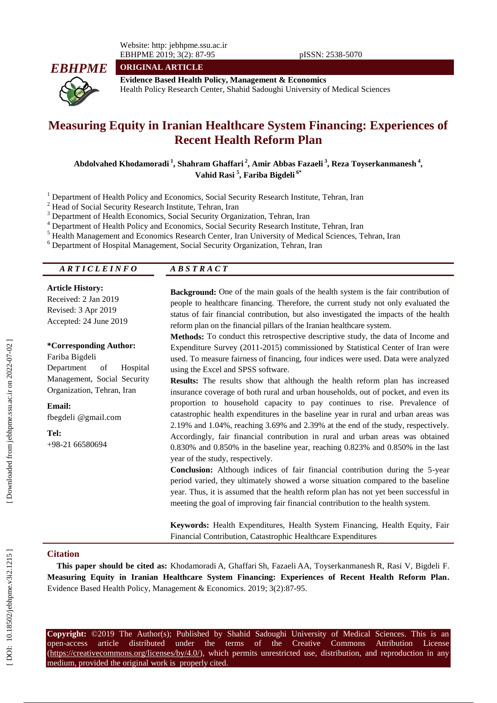Website: http: jebhpme.ssu.ac.ir EBHPME 201 9; 3(2): 87 -95 pISSN: 2538 -5070



**ORIGINAL ARTICLE**

**Evidence Based Health Policy, Management & Economics** Health Policy Research Center, Shahid Sadoughi University of Medical Sciences

# **Measuring Equity in Iranian Healthcare System Financing: Experiences of Recent Health Reform Plan**

**Abdolvahed Khodamoradi 1 , Shahram Ghaffari 2 , Amir Abbas Fazaeli 3 , Reza Toyserkanmanesh 4 , Vahid Rasi 5 , Fariba Bigdeli 6\***

<sup>1</sup> Department of Health Policy and Economics, Social Security Research Institute, Tehran, Iran<br>
<sup>2</sup> Head of Social Security Research Institute, Tehran, Iran<br>
<sup>3</sup> Department of Health Economics, Social Security Organizati

### *A R T I C L E I N F O A B S T R A C T*

#### **Article History:**

Received: 2 Jan 2019 Revised: 3 Apr 2019 Accepted: 24 June 2019

**\*Corresponding Author:**

Fariba Bigdeli Department of Hospital Management, Social Security Organization, Tehran, Iran

**Email:** fbegdeli @gmail.com

**Tel:** +98 -21 66580694 **Background:** One of the main goals of the health system is the fair contribution of people to healthcare financing. Therefore, the current study not only evaluated the status of fair financial contribution, but also investigated the impacts of the health reform plan on the financial pillars of the Iranian healthcare system.

**Method s :** To conduct this retrospective descriptive study, the data of Income and Expenditure Survey (2011 -2015) commissioned by Statistical Center of Iran were used. To measure fairness of financing, four indices were used. Data were analyzed using the Excel and SPSS software.

**Results :** The results show that although the health reform plan has increased insurance coverage of both rural and urban households, out of pocket, and even its proportion to household capacity to pay continues to rise. Prevalence of catastrophic health expenditures in the baseline year in rural and urban areas was 2.19% and 1.04%, reaching 3.69% and 2.39% at the end of the study, respectively. Accordingly, fair financial contribution in rural and urban areas was obtained 0.830% and 0.850% in the baseline year, reaching 0.823% and 0.850% in the last year of the study, respectively.

Conclusion: Although indices of fair financial contribution during the 5-year period varied, they ultimately showed a worse situation compared to the baseline year. Thus, it is assumed that the health reform plan has not yet been successful in meeting the goal of improving fair financial contribution to the health system.

**Keywords:** Health Expenditures, Health System Financing, Health Equity, Fair Financial Contribution, Catastrophic Healthcare Expenditures

#### **Citation**

**This paper should be cited as:** Khodamoradi A, Ghaffari Sh, Fazaeli AA, Toyserkanmanesh R, Rasi V, Bigdeli F. **Measuring Equity in Iranian Healthcare System Financing: Experiences of Recent Health Reform Plan.**  Evidence Based Health Policy, Management & Economics. 2019; 3(2):87-95.

**Copyright:** ©201 9 The Author(s); Published by Shahid Sadoughi University of Medical Sciences. This is an open-access -access article distributed under the terms of the Creative Commons Attribution License (https://creativecommons.org/licenses/by/4.0/), which permits unrestricted use, distribution, and reproduction in any medium, provided the original work is properly cited.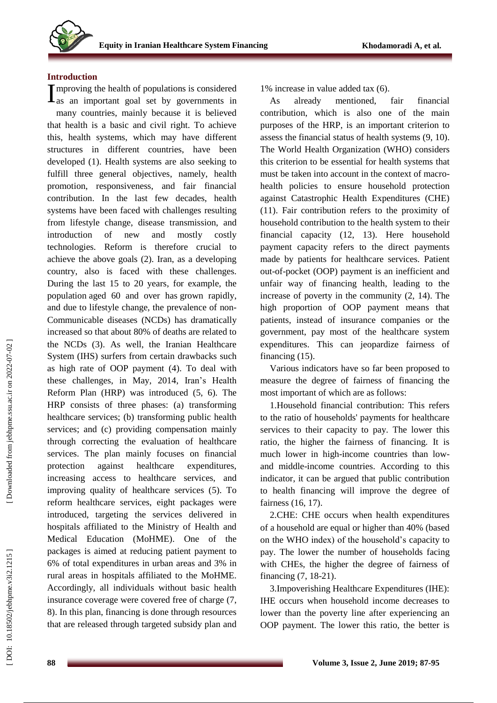## **Introduction**

mproving the health of populations is considered

 $\Gamma$  as an important goal set by governments in many countries, mainly because it is believed that health is a basic and civil right. To achieve this, health systems, which may have different structures in different countries, have been developed ( 1). Health systems are also seeking to fulfill three general objectives, namely, health promotion, responsiveness, and fair financial contribution. In the last few decades, health systems have been faced with challenges resulting from lifestyle change, disease transmission, and introduction of new and mostly costly technologies. Reform is therefore crucial to achieve the above goals ( 2). Iran, as a developing country, also is faced with these challenges. During the last 15 to 20 years, for example, the population aged 60 and over has grown rapidly, and due to lifestyle change, the prevalence of non - Communicable diseases (NCDs) has dramatically increased so that about 80% of deaths are related to the NCDs ( 3). As well, the Iranian Healthcare System (IHS) surfers from certain drawbacks such as high rate of OOP payment ( 4). To deal with these challenges, in May, 2014 , Iran's Health Reform Plan (H RP) was introduced ( 5, 6). The HRP consists of three phases: (a) transforming healthcare services; (b) transforming public health services; and (c) providing compensation mainly through correcting the evaluation of healthcare services. The plan mainly focuses on financial protection against healthcare expenditures, increasing access to healthcare services, and improving quality of healthcare services ( 5). To reform healthcare services, eight packages were introduced, targeting the services delivered in hospitals affiliated to the Ministry of Health and Medical Education (MoHME). One of the packages is aimed at reducing patient payment to 6% of total expenditures in urban areas and 3% in rural areas in hospitals affiliated to the MoHME. Accordingly, all individuals without basic health insurance coverage were covered free of charge ( 7, 8). In this plan, financing is done through resources that are released through targeted subsidy plan and

1% increase in value added tax ( 6).

As already mentioned, fair financial contribution, which is also one of the main purposes of the HRP, is an important criterion to assess the financial status of health systems ( 9, 10). The World Health Organization (WHO) considers this criterion to be essential for health systems that must be taken into account in the context of macro health policies to ensure household protection against Catastrophic Health Expenditures (CHE) (11). Fair contribution refers to the proximity of household contribution to the health system to their financial capacity (12, 13). Here household payment capacity refers to the direct payments made by patients for healthcare services. Patient out -of -pocket (OOP ) payment is an inefficient and unfair way of financing health , leading to the increase of poverty in the community ( 2, 14). The high proportion of OOP payment means that patients, instead of insurance companies or the government, pay most of the healthcare system expenditures. This can jeopardize fairness of financing (15).

Various indicators have so far been proposed to measure the degree of fairness of financing the most important of which are as follows :

1 .Household financial contribution: This refers to the ratio of households' payments for healthcare services to their capacity to pay. The lower this ratio, the higher the fairness of financing. It is much lower in high -income countries than low and middle -income countries. According to this indicator, it can be argued that public contribution to health financing will improve the degree of fairness (16, 17).

2.CHE: CHE occurs when health expenditures of a household are equal or higher than 40% (based on the WHO index) of the household's capacity to pay. The lower the number of households facing with CHEs, the higher the degree of fairness of financing ( 7, 18 -21).

3 .Impoverishing Healthcare Expenditures (IHE): IHE occurs when household income decreases to lower than the poverty line after experiencing an OOP payment. The lower this ratio, the better is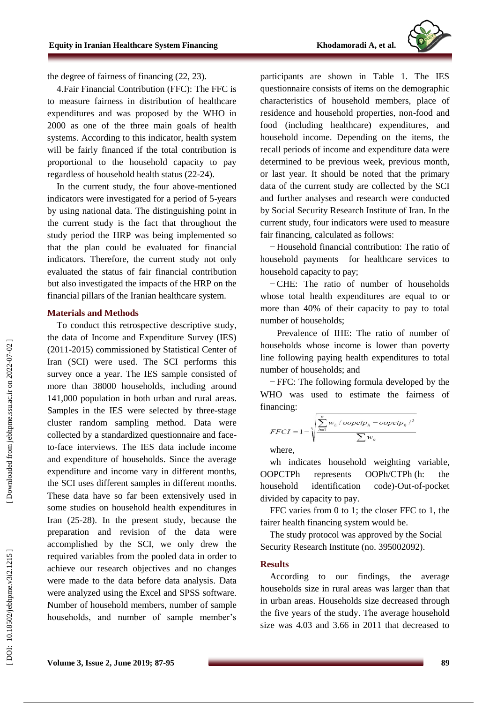

the degree of fairness of financing (22, 23).

4.Fair Financial Contribution (FFC): The FFC is to measure fairness in distribution of healthcare expenditures and was proposed by the WHO in 2000 as one of the three main goals of health systems. According to this indicator, health system will be fairly financed if the total contribution is proportional to the household capacity to pay regardless of household health status (22 -24).

In the current study, the four above -mentioned indicators were investigated for a period of 5 -years by using national data. The distinguishing point in the current study is the fact that throughout the study period the HRP was being implemented so that the plan could be evaluated for financial indicators. Therefore, the current study not only evaluated the status of fair financial contribution but also investigated the impacts of the HRP on the financial pillars of the Iranian healthcare system.

### **Materials and Methods**

To conduct this retrospective descriptive study , the data of Income and Expenditure Survey (IES) (2011-2015) commissioned by Statistical Center of Iran (SCI) were used. The SCI performs this survey once a year. The IES sample consisted of more than 38000 households, including around 141,000 population in both urban and rural areas. Samples in the IES were selected by three -stage cluster random sampling method. Data were collected by a standardized questionnaire and face to -face interviews. The IES data include income and expenditure of households. Since the average expenditure and income vary in different months, the SCI uses different samples in different months. These data have so far been extensively used in some studies on household health expenditures in Iran (25 -28). In the present study, because the preparation and revision of the data were accomplished by the SCI, we only drew the required variables from the pooled data in order to achieve our research objectives and no changes were made to the data before data analysis. Data were analyzed using the Excel and SPSS software. Number of household members, number of sample households, and number of sample member's

participants are shown in Table 1. The IES questionnaire consists of items on the demographic characteristics of household members, place of residence and household properties, non -food and food (including healthcare) expenditures, and household income. Depending on the items, the recall period s of income and expenditure data were determined to be previous week, previous month, or last year. It should be noted that the primary data of the current study are collected by the SCI and further analyses and research were conducted by Social Security Research Institute of Iran. In the current study, four indicators were used to measure fair financing , calculated as follows:

− Household financial contribution: The ratio of household payments for healthcare services to household capacity to pay;

− CHE: The ratio of number of households whose total health expenditures are equal to or more than 40% of their capacity to pay to total number of households;

− Prevalence of IHE: The ratio of number of households whose income is lower than poverty line following paying health expenditures to total number of households; and

− FFC: The following formula developed by the WHO was used to estimate the fairness of financing:

$$
FFCI = 1 - \sqrt[3]{\frac{\sum_{h=1}^{n} w_h / oopctp_h - oopctp_0 /^3}{\sum w_h}}
$$
  
where,

wh indicates household weighting variable , **OOPCTPh** h represents OOPh/CTP h (h: the household identification -Out -of -pocket divided by capacity to pay.

FFC varies from 0 to 1; the closer FFC to 1, the fairer health financing system would be.

The study protocol was approved by the Social Security Research Institute (no. 395002092) .

### **Results**

According to our findings, the average households size in rural areas was larger than that in urban areas . Households size decreased through the five years of the study. The average household size was 4.03 and 3.66 in 2011 that decreased to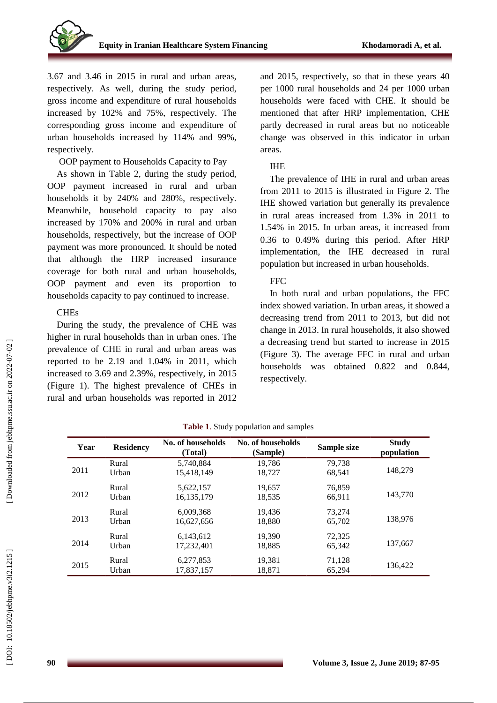3.67 and 3.46 in 2015 in rural and urban areas, respectively. As well, during the study period, gross income and expenditure of rural households increased by 102% and 75%, respectively. The corresponding gross income and expenditure of urban households increased by 114% and 99%, respectively .

OOP payment to Households Capacity to Pay

As shown in Table 2, during the study period, OOP payment increased in rural and urban households it by 240 % and 280%, respectively. Meanwhile, household capacity to pay also increased by 170 % and 200% in rural and urban households, respectively, but the increase of OOP payment was more pronounced. It should be noted that although the HRP increased insurance coverage for both rural and urban households, OOP payment and even its proportion to households capacity to pay continued to increase .

## **CHEs**

During the study, the prevalence of CHE was higher in rural households than in urban ones. The prevalence of CHE in rural and urban areas was reported to be 2.19 and 1.04% in 2011, which increased to 3.69 and 2.39%, respectively, in 2015 (Figure 1). The highest prevalence of CHEs in rural and urban households was reported in 2012

and 2015, respectively, so that in these years 40 per 1000 rural households and 24 per 1000 urban households were faced with CHE. It should be mentioned that after HRP implementation, CHE partly decreased in rural areas but no noticeable change was observed in this indicator in urban areas .

## IHE

The prevalence of IHE in rural and urban areas from 2011 to 2015 is illustrated in Figure 2. The IHE showed variation but generally its prevalence in rural areas increased from 1.3% in 2011 to 1.54% in 2015. In urban areas, it increased from 0.36 to 0.49% during this period. After HRP implementation, the IHE decreased in rural population but increased in urban households.

## FFC

In both rural and urban populations , the FFC index showed variation. In urban areas, it showed a decreasing trend from 2011 to 2013, but did not change in 2013. In rural households, it also showed a decreasing trend but started to increase in 2015 (Figure 3). The average FFC in rural and urban households was obtained 0.822 and 0.844, respectively.

| Year | <b>Residency</b> | No. of households<br>(Total) | No. of households<br>(Sample) | Sample size      | <b>Study</b><br>population |
|------|------------------|------------------------------|-------------------------------|------------------|----------------------------|
| 2011 | Rural<br>Urban   | 5.740.884<br>15,418,149      | 19.786<br>18,727              | 79.738<br>68.541 | 148,279                    |
| 2012 | Rural<br>Urban   | 5,622,157<br>16, 135, 179    | 19,657<br>18,535              | 76,859<br>66,911 | 143,770                    |
| 2013 | Rural<br>Urban   | 6,009,368<br>16.627.656      | 19,436<br>18.880              | 73.274<br>65.702 | 138,976                    |
| 2014 | Rural<br>Urban   | 6.143.612<br>17.232.401      | 19.390<br>18,885              | 72,325<br>65.342 | 137.667                    |
| 2015 | Rural<br>Urban   | 6,277,853<br>17,837,157      | 19,381<br>18,871              | 71,128<br>65,294 | 136.422                    |

**Table 1**. Study population and samples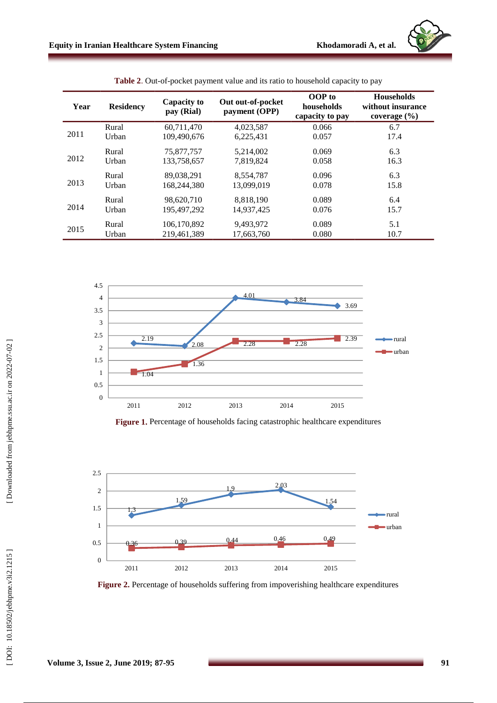| Year | <b>Residency</b> | <b>Capacity to</b><br>pay (Rial) | Out out-of-pocket<br>payment (OPP) | OOP to<br>households<br>capacity to pay | <b>Households</b><br>without insurance<br>coverage $(\% )$ |
|------|------------------|----------------------------------|------------------------------------|-----------------------------------------|------------------------------------------------------------|
| 2011 | Rural            | 60.711.470                       | 4,023,587                          | 0.066                                   | 6.7                                                        |
|      | Urban            | 109,490,676                      | 6,225,431                          | 0.057                                   | 17.4                                                       |
| 2012 | Rural            | 75,877,757                       | 5,214,002                          | 0.069                                   | 6.3                                                        |
|      | Urban            | 133.758.657                      | 7,819,824                          | 0.058                                   | 16.3                                                       |
| 2013 | Rural            | 89,038,291                       | 8,554,787                          | 0.096                                   | 6.3                                                        |
|      | Urban            | 168,244,380                      | 13,099,019                         | 0.078                                   | 15.8                                                       |
| 2014 | Rural            | 98,620,710                       | 8.818.190                          | 0.089                                   | 6.4                                                        |
|      | Urban            | 195,497,292                      | 14.937.425                         | 0.076                                   | 15.7                                                       |
| 2015 | Rural            | 106,170,892                      | 9,493,972                          | 0.089                                   | 5.1                                                        |
|      | Urban            | 219.461.389                      | 17,663,760                         | 0.080                                   | 10.7                                                       |



Figure 1. Percentage of households facing catastrophic healthcare expenditures



Figure 2. Percentage of households suffering from impoverishing healthcare expenditures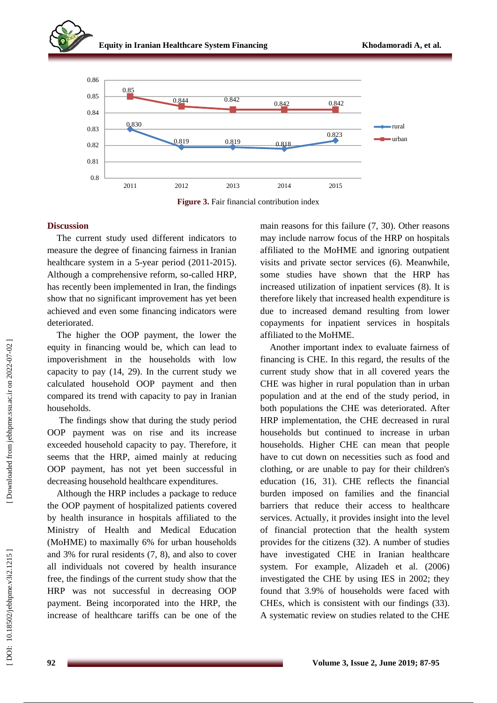

**Figure 3.** Fair financial contribution index

## **Discussion**

The current study used different indicators to measure the degree of financing fairness in Iranian healthcare system in a 5-year period (2011-2015). Although a comprehensive reform, so -called HRP, has recently been implemented in Iran, the findings show that no significant improvement has yet been achieved and even some financing indicators were deteriorated .

The higher the OOP payment, the lower the equity in financing would be, which can lead to impoverishment in the households with low capacity to pay (14, 29). In the current study we calculated household OOP payment and then compared its trend with capacity to pay in Iranian households.

The findings show that during the study period OOP payment was on rise and its increase exceeded household capacity to pay. Therefore, it seems that the HRP, aimed mainly at reducing OOP payment, has not yet been successful in decreasing household healthcare expenditures.

Although the HR P includes a package to reduce the OOP payment of hospitalized patients covered by health insurance in hospitals affiliated to the Ministry of Health and Medical Education (MoHME) to maximally 6% for urban households and 3% for rural residents ( 7, 8), and also to cover all individuals not covered by health insurance free, the findings of the current study show that the HRP was not successful in decreasing OOP payment. Being incorporated into the HRP, the increase of healthcare tariffs can be one of the

main reasons for this failure ( 7, 30). Other reasons may include narrow focus of the H RP on hospitals affiliated to the MoHME and ignoring outpatient visits and private sector services ( 6). Meanwhile, some studies have shown that the HRP has increased utilization of inpatient services ( 8). It is therefore likely that increased health expenditure is due to increased demand resulting from lower copayments for inpatient services in hospitals affiliated to the MoHME.

Another important index to evaluate fairness of financing is CHE. In this regard, the results of the current study show that in all covered years the CHE was higher in rural population than in urban population and at the end of the study period, in both populations the CHE was deteriorated. After HRP implementation, the CHE decreased in rural households but continued to increase in urban households . Higher CHE can mean that people have to cut down on necessities such as food and clothing, or are unable to pay for their children's education (16, 31). CHE reflects the financial burden imposed on families and the financial barriers that reduce their access to healthcare services. Actually , it provides insight into the level of financial protection that the health system provides for the citizens (32). A number of studies have investigated CHE in Iranian healthcare system. For example, Alizadeh et al. (2006) investigated the CHE by using IES in 2002; they found that 3.9% of households were faced with CHEs, which is consistent with our findings (33). A systematic review on studies related to the CHE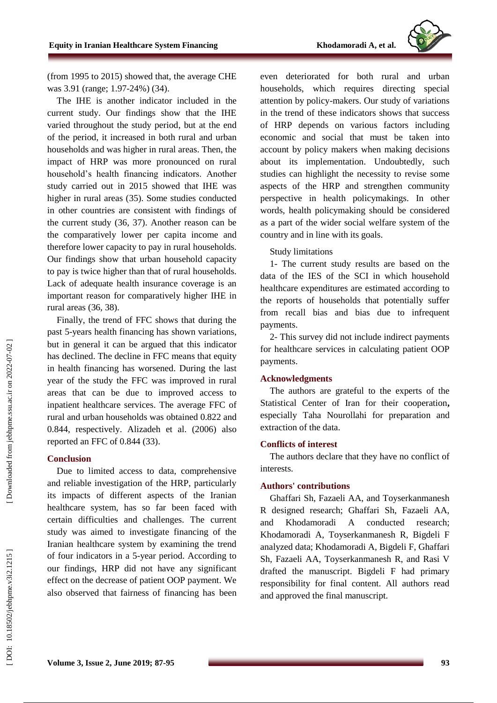

(from 1995 to 2015) showed that, the average CHE was 3.91 (range; 1.97-24%) (34).

The IHE is another indicator included in the current study. Our findings show that the IHE varied throughout the study period, but at the end of the period, it increased in both rural and urban households and was higher in rural areas. Then, the impact of HRP was more pronounced on rural household's health financing indicators. Another study carried out in 2015 showed that IHE was higher in rural areas (35). Some studies conducted in other countries are consistent with findings of the current study (36, 37). Another reason can be the comparatively lower per capita income and therefore lower capacity to pay in rural households. Our findings show that urban household capacity to pay is twice higher than that of rural households. Lack of adequate health insurance coverage is an important reason for comparatively higher IHE in rural areas (36, 38).

Finally, the trend of FFC shows that during the past 5 -years health financing has shown variations, but in general it can be argued that this indicator has declined. The decline in FFC means that equity in health financing has worsened. During the last year of the study the FFC was improved in rural areas that can be due to improved access to inpatient healthcare services. The average FFC of rural and urban households was obtained 0.822 and 0.844, respectively. Alizadeh et al. (2006) also reported a n FFC of 0.844 (33).

## **Conclusion**

Due to limited access to data, comprehensive and reliable investigation of the HRP, particularly its impacts of different aspects of the Iranian healthcare system, has so far been faced with certain difficulties and challenges. The current study was aimed to investigate financing of the Iranian healthcare system by examining the trend of four indicators in a 5 -year period. According to our findings, HRP did not have any significant effect on the decrease of patient OOP payment. We also observed that fairness of financing has been

even deteriorated for both rural and urban households, which requires directing special attention by policy -makers. Our study of variations in the trend of these indicators shows that success of HRP depends on various factors including economic and social that must be taken into account by policy makers when making decisions about its implementation. Undoubtedly, such studies can highlight the necessity to revise some aspects of the HRP and strengthen community perspective in health policymakings. In other words, health policymaking should be considered as a part of the wider social welfare system of the country and in line with its goals.

## Study limitations

1- The current study results are based on the data of the IES of the SCI in which household healthcare expenditures are estimated according to the reports of households that potentially suffer from recall bias and bias due to infrequent payments.

2- This survey did not include indirect payments for healthcare services in calculating patient OOP payments.

## **Acknowledgments**

The authors are grateful to the experts of the Statistical Center of Iran for their cooperation **,** especially Taha Nourollahi for preparatio n and extraction of the data.

## **Conflicts of interest**

The authors declare that they have no conflict of interests.

## **Authors' contributions**

Ghaffari Sh, Fazaeli AA, and Toyserkanmanesh R designed research; Ghaffari Sh, Fazaeli AA, and Khodamoradi A conducted research; Khodamoradi A, Toyserkanmanesh R, Bigdeli F analyzed data; Khodamoradi A, Bigdeli F, Ghaffari Sh, Fazaeli AA, Toyserkanmanesh R, and Rasi V drafted the manuscript. Bigdeli F had primary responsibility for final content. All authors read and approved the final manuscript.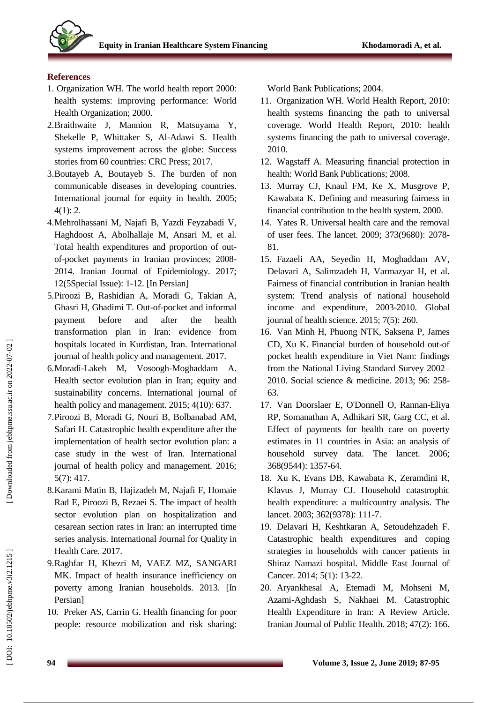

## **References**

- 1. Organization WH. The world health report 2000: health systems: improving performance: World Health Organization; 2000.
- 2.Braithwaite J, Mannion R, Matsuyama Y, Shekelle P, Whittaker S, Al -Adawi S. Health systems improvement across the globe: Success stories from 60 countries: CRC Press; 2017.
- 3.Boutayeb A, Boutayeb S. The burden of non communicable diseases in developing countries. International journal for equity in health. 2005; 4(1): 2.
- 4.Mehrolhassani M, Najafi B, Yazdi Feyzabadi V, Haghdoost A, Abolhallaje M, Ansari M, et al. Total health expenditures and proportion of out of-pocket payments in Iranian provinces; 2008 - 2014. Iranian Journal of Epidemiology. 2017; 12(5Special Issue): 1 -12. [In Persian]
- 5.Piroozi B, Rashidian A, Moradi G, Takian A, Ghasri H, Ghadimi T. Out -of-pocket and informal payment before and after the health transformation plan in Iran: evidence from hospitals located in Kurdistan, Iran. International journal of health policy and management. 2017.
- 6.Moradi -Lakeh M, Vosoogh -Moghaddam A. Health sector evolution plan in Iran; equity and sustainability concerns. International journal of health policy and management. 2015; 4(10): 637.
- 7.Piroozi B, Moradi G, Nouri B, Bolbanabad AM, Safari H. Catastrophic health expenditure after the implementation of health sector evolution plan: a case study in the west of Iran. International journal of health policy and management. 2016; 5(7): 417.
- 8.Karami Matin B, Hajizadeh M, Najafi F, Homaie Rad E, Piroozi B, Rezaei S. The impact of health sector evolution plan on hospitalization and cesarean section rates in Iran: an interrupted time series analysis. International Journal for Quality in Health Care. 2017.
- 9.Raghfar H, Khezri M, VAEZ MZ, SANGARI MK. Impact of health insurance inefficiency on poverty among Iranian households. 2013. [In Persian]
- 10. Preker AS, Carrin G. Health financing for poor people: resource mobilization and risk sharing:

World Bank Publications; 2004.

- 11. Organization WH. World Health Report, 2010: health systems financing the path to universal coverage. World Health Report, 2010: health systems financing the path to universal coverage. 2010.
- 12. Wagstaff A. Measuring financial protection in health: World Bank Publications; 2008.
- 13. Murray CJ, Knaul FM, Ke X, Musgrove P, Kawabata K. Defining and measuring fairness in financial contribution to the health system. 2000.
- 14. Yates R. Universal health care and the removal of user fees. The lancet. 2009; 373(9680): 2078 - 81.
- 15. Fazaeli AA, Seyedin H, Moghaddam AV, Delavari A, Salimzadeh H, Varmazyar H, et al. Fairness of financial contribution in Iranian health system: Trend analysis of national household income and expenditure, 2003 -2010. Global journal of health science. 2015; 7(5): 260.
- 16. Van Minh H, Phuong NTK, Saksena P, James CD, Xu K. Financial burden of household out -of pocket health expenditure in Viet Nam: findings from the National Living Standard Survey 2002 – 2010. Social science & medicine. 2013; 96: 258 - 63.
- 17. Van Doorslaer E, O'Donnell O, Rannan -Eliya RP, Somanathan A, Adhikari SR, Garg CC, et al. Effect of payments for health care on poverty estimates in 11 countries in Asia: an analysis of household survey data. The lancet. 2006; 368(9544): 1357 -64 .
- 18. Xu K, Evans DB, Kawabata K, Zeramdini R, Klavus J, Murray CJ. Household catastrophic health expenditure: a multicountry analysis. The lancet. 2003; 362(9378): 111 -7.
- 19. Delavari H, Keshtkaran A, Setoudehzadeh F. Catastrophic health expenditures and coping strategies in households with cancer patients in Shiraz Namazi hospital. Middle East Journal of Cancer. 2014; 5(1): 13 -22.
- 20. Aryankhesal A, Etemadi M, Mohseni M, Azami -Aghdash S, Nakhaei M. Catastrophic Health Expenditure in Iran: A Review Article. Iranian Journal of Public Health. 2018; 47(2): 166.